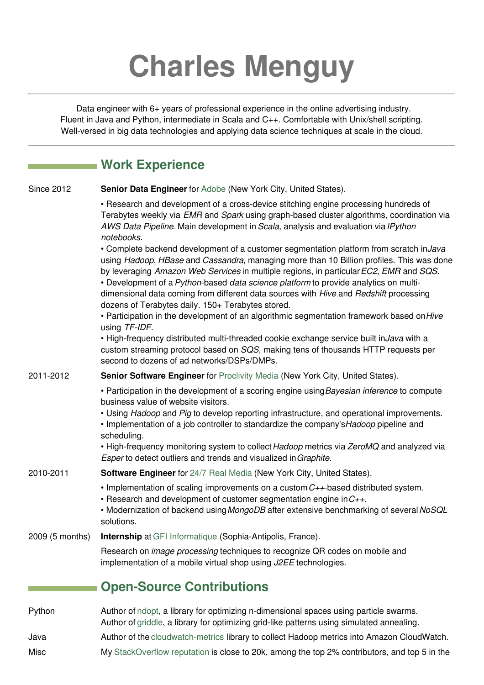## **Charles Menguy**

Data engineer with 6+ years of professional experience in the online advertising industry. Fluent in Java and Python, intermediate in Scala and C++. Comfortable with Unix/shell scripting. Well-versed in big data technologies and applying data science techniques at scale in the cloud.

|                   | <b>Work Experience</b>                                                                                                                                                                                                                                                                                                                                                                                                                                                                                             |
|-------------------|--------------------------------------------------------------------------------------------------------------------------------------------------------------------------------------------------------------------------------------------------------------------------------------------------------------------------------------------------------------------------------------------------------------------------------------------------------------------------------------------------------------------|
| <b>Since 2012</b> | Senior Data Engineer for Adobe (New York City, United States).                                                                                                                                                                                                                                                                                                                                                                                                                                                     |
|                   | • Research and development of a cross-device stitching engine processing hundreds of<br>Terabytes weekly via EMR and Spark using graph-based cluster algorithms, coordination via<br>AWS Data Pipeline. Main development in Scala, analysis and evaluation via IPython<br>notebooks.                                                                                                                                                                                                                               |
|                   | • Complete backend development of a customer segmentation platform from scratch inJava<br>using Hadoop, HBase and Cassandra, managing more than 10 Billion profiles. This was done<br>by leveraging Amazon Web Services in multiple regions, in particular EC2, EMR and SQS.<br>• Development of a Python-based data science platform to provide analytics on multi-<br>dimensional data coming from different data sources with Hive and Redshift processing<br>dozens of Terabytes daily. 150+ Terabytes stored. |
|                   | • Participation in the development of an algorithmic segmentation framework based on Hive<br>using TF-IDF.                                                                                                                                                                                                                                                                                                                                                                                                         |
|                   | . High-frequency distributed multi-threaded cookie exchange service built inJava with a<br>custom streaming protocol based on SQS, making tens of thousands HTTP requests per<br>second to dozens of ad networks/DSPs/DMPs.                                                                                                                                                                                                                                                                                        |
| 2011-2012         | Senior Software Engineer for Proclivity Media (New York City, United States).                                                                                                                                                                                                                                                                                                                                                                                                                                      |
|                   | • Participation in the development of a scoring engine using Bayesian inference to compute<br>business value of website visitors.<br>. Using Hadoop and Pig to develop reporting infrastructure, and operational improvements.<br>• Implementation of a job controller to standardize the company's Hadoop pipeline and<br>scheduling.                                                                                                                                                                             |
|                   | • High-frequency monitoring system to collect Hadoop metrics via ZeroMQ and analyzed via<br>Esper to detect outliers and trends and visualized in Graphite.                                                                                                                                                                                                                                                                                                                                                        |
| 2010-2011         | <b>Software Engineer</b> for 24/7 Real Media (New York City, United States).                                                                                                                                                                                                                                                                                                                                                                                                                                       |
|                   | • Implementation of scaling improvements on a custom $C++$ based distributed system.<br>• Research and development of customer segmentation engine in $C_{++}$ .<br>• Modernization of backend using MongoDB after extensive benchmarking of several NoSQL<br>solutions.                                                                                                                                                                                                                                           |
| 2009 (5 months)   | <b>Internship</b> at GFI Informatique (Sophia-Antipolis, France).                                                                                                                                                                                                                                                                                                                                                                                                                                                  |
|                   | Research on <i>image processing</i> techniques to recognize QR codes on mobile and<br>implementation of a mobile virtual shop using J2EE technologies.                                                                                                                                                                                                                                                                                                                                                             |
|                   | <b>Open-Source Contributions</b>                                                                                                                                                                                                                                                                                                                                                                                                                                                                                   |
| Python            | Author of ndopt, a library for optimizing n-dimensional spaces using particle swarms.<br>Author of griddle, a library for optimizing grid-like patterns using simulated annealing.                                                                                                                                                                                                                                                                                                                                 |

Java Author of the [cloudwatch-metrics](https://github.com/cmenguy/cloudwatch-metrics) library to collect Hadoop metrics into Amazon CloudWatch.

Misc My [StackOverflow](http://stackoverflow.com/users/1332690/charles-menguy) reputation is close to 20k, among the top 2% contributors, and top 5 in the